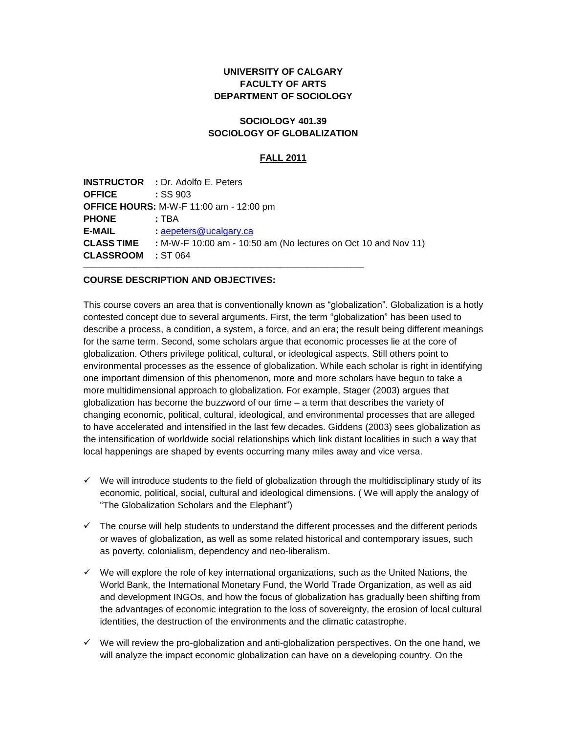# **UNIVERSITY OF CALGARY FACULTY OF ARTS DEPARTMENT OF SOCIOLOGY**

## **SOCIOLOGY 401.39 SOCIOLOGY OF GLOBALIZATION**

### **FALL 2011**

| <b>OFFICE</b><br><b>PHONE</b> | : TBA                                          |  |  |  |
|-------------------------------|------------------------------------------------|--|--|--|
|                               |                                                |  |  |  |
|                               |                                                |  |  |  |
|                               | <b>OFFICE HOURS: M-W-F 11:00 am - 12:00 pm</b> |  |  |  |
|                               | :SS903                                         |  |  |  |
|                               | <b>INSTRUCTOR : Dr. Adolfo E. Peters</b>       |  |  |  |

### **COURSE DESCRIPTION AND OBJECTIVES:**

This course covers an area that is conventionally known as "globalization". Globalization is a hotly contested concept due to several arguments. First, the term "globalization" has been used to describe a process, a condition, a system, a force, and an era; the result being different meanings for the same term. Second, some scholars argue that economic processes lie at the core of globalization. Others privilege political, cultural, or ideological aspects. Still others point to environmental processes as the essence of globalization. While each scholar is right in identifying one important dimension of this phenomenon, more and more scholars have begun to take a more multidimensional approach to globalization. For example, Stager (2003) argues that globalization has become the buzzword of our time – a term that describes the variety of changing economic, political, cultural, ideological, and environmental processes that are alleged to have accelerated and intensified in the last few decades. Giddens (2003) sees globalization as the intensification of worldwide social relationships which link distant localities in such a way that local happenings are shaped by events occurring many miles away and vice versa.

- $\checkmark$  We will introduce students to the field of globalization through the multidisciplinary study of its economic, political, social, cultural and ideological dimensions. ( We will apply the analogy of "The Globalization Scholars and the Elephant")
- $\checkmark$  The course will help students to understand the different processes and the different periods or waves of globalization, as well as some related historical and contemporary issues, such as poverty, colonialism, dependency and neo-liberalism.
- $\checkmark$  We will explore the role of key international organizations, such as the United Nations, the World Bank, the International Monetary Fund, the World Trade Organization, as well as aid and development INGOs, and how the focus of globalization has gradually been shifting from the advantages of economic integration to the loss of sovereignty, the erosion of local cultural identities, the destruction of the environments and the climatic catastrophe.
- $\checkmark$  We will review the pro-globalization and anti-globalization perspectives. On the one hand, we will analyze the impact economic globalization can have on a developing country. On the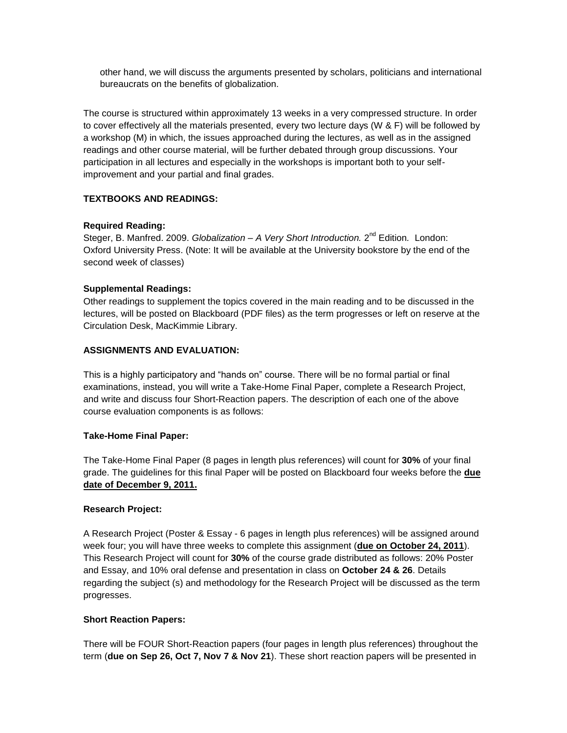other hand, we will discuss the arguments presented by scholars, politicians and international bureaucrats on the benefits of globalization.

The course is structured within approximately 13 weeks in a very compressed structure. In order to cover effectively all the materials presented, every two lecture days (W & F) will be followed by a workshop (M) in which, the issues approached during the lectures, as well as in the assigned readings and other course material, will be further debated through group discussions. Your participation in all lectures and especially in the workshops is important both to your selfimprovement and your partial and final grades.

# **TEXTBOOKS AND READINGS:**

### **Required Reading:**

Steger, B. Manfred. 2009. Globalization – A Very Short Introduction. 2<sup>nd</sup> Edition. London: Oxford University Press. (Note: It will be available at the University bookstore by the end of the second week of classes)

### **Supplemental Readings:**

Other readings to supplement the topics covered in the main reading and to be discussed in the lectures, will be posted on Blackboard (PDF files) as the term progresses or left on reserve at the Circulation Desk, MacKimmie Library.

### **ASSIGNMENTS AND EVALUATION:**

This is a highly participatory and "hands on" course. There will be no formal partial or final examinations, instead, you will write a Take-Home Final Paper, complete a Research Project, and write and discuss four Short-Reaction papers. The description of each one of the above course evaluation components is as follows:

#### **Take-Home Final Paper:**

The Take-Home Final Paper (8 pages in length plus references) will count for **30%** of your final grade. The guidelines for this final Paper will be posted on Blackboard four weeks before the **due date of December 9, 2011.**

#### **Research Project:**

A Research Project (Poster & Essay - 6 pages in length plus references) will be assigned around week four; you will have three weeks to complete this assignment (**due on October 24, 2011**). This Research Project will count for **30%** of the course grade distributed as follows: 20% Poster and Essay, and 10% oral defense and presentation in class on **October 24 & 26**. Details regarding the subject (s) and methodology for the Research Project will be discussed as the term progresses.

#### **Short Reaction Papers:**

There will be FOUR Short-Reaction papers (four pages in length plus references) throughout the term (**due on Sep 26, Oct 7, Nov 7 & Nov 21**). These short reaction papers will be presented in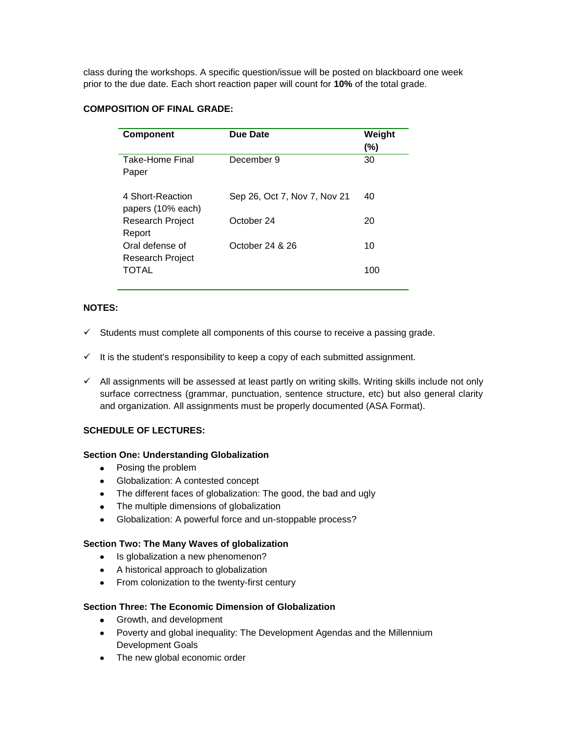class during the workshops. A specific question/issue will be posted on blackboard one week prior to the due date. Each short reaction paper will count for **10%** of the total grade.

# **COMPOSITION OF FINAL GRADE:**

| <b>Component</b>                      | <b>Due Date</b>              | Weight<br>$(\%)$ |
|---------------------------------------|------------------------------|------------------|
| Take-Home Final<br>Paper              | December 9                   | 30               |
| 4 Short-Reaction<br>papers (10% each) | Sep 26, Oct 7, Nov 7, Nov 21 | 40               |
| <b>Research Project</b><br>Report     | October 24                   | 20               |
| Oral defense of                       | October 24 & 26              | 10               |
| Research Project<br>TOTAL             |                              | 100              |

## **NOTES:**

- $\checkmark$  Students must complete all components of this course to receive a passing grade.
- $\checkmark$  It is the student's responsibility to keep a copy of each submitted assignment.
- $\checkmark$  All assignments will be assessed at least partly on writing skills. Writing skills include not only surface correctness (grammar, punctuation, sentence structure, etc) but also general clarity and organization. All assignments must be properly documented (ASA Format).

## **SCHEDULE OF LECTURES:**

#### **Section One: Understanding Globalization**

- Posing the problem
- Globalization: A contested concept
- The different faces of globalization: The good, the bad and ugly
- The multiple dimensions of globalization
- Globalization: A powerful force and un-stoppable process?

#### **Section Two: The Many Waves of globalization**

- Is globalization a new phenomenon?
- A historical approach to globalization
- From colonization to the twenty-first century

### **Section Three: The Economic Dimension of Globalization**

- Growth, and development
- Poverty and global inequality: The Development Agendas and the Millennium Development Goals
- The new global economic order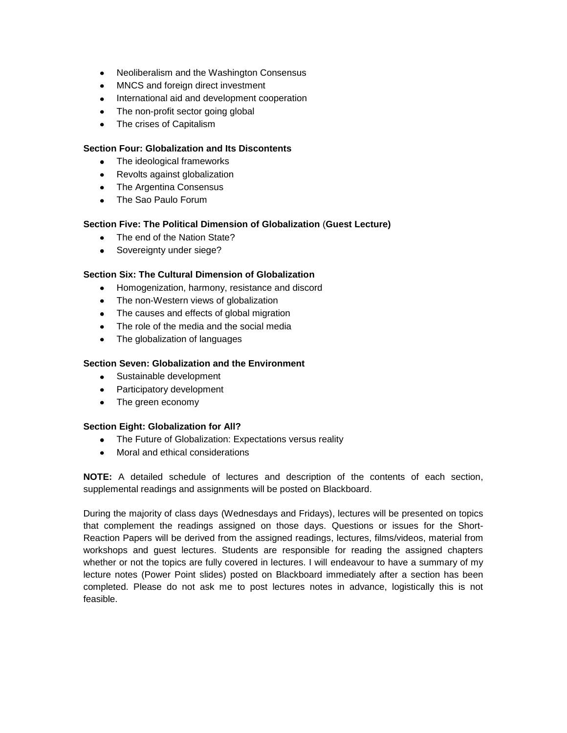- Neoliberalism and the Washington Consensus
- MNCS and foreign direct investment
- International aid and development cooperation
- The non-profit sector going global
- The crises of Capitalism

### **Section Four: Globalization and Its Discontents**

- The ideological frameworks
- Revolts against globalization
- The Argentina Consensus
- The Sao Paulo Forum

### **Section Five: The Political Dimension of Globalization** (**Guest Lecture)**

- The end of the Nation State?
- Sovereignty under siege?

## **Section Six: The Cultural Dimension of Globalization**

- Homogenization, harmony, resistance and discord
- The non-Western views of globalization
- The causes and effects of global migration
- The role of the media and the social media
- The globalization of languages

### **Section Seven: Globalization and the Environment**

- Sustainable development
- Participatory development
- The green economy

#### **Section Eight: Globalization for All?**

- The Future of Globalization: Expectations versus reality
- Moral and ethical considerations

**NOTE:** A detailed schedule of lectures and description of the contents of each section, supplemental readings and assignments will be posted on Blackboard.

During the majority of class days (Wednesdays and Fridays), lectures will be presented on topics that complement the readings assigned on those days. Questions or issues for the Short-Reaction Papers will be derived from the assigned readings, lectures, films/videos, material from workshops and guest lectures. Students are responsible for reading the assigned chapters whether or not the topics are fully covered in lectures. I will endeavour to have a summary of my lecture notes (Power Point slides) posted on Blackboard immediately after a section has been completed. Please do not ask me to post lectures notes in advance, logistically this is not feasible.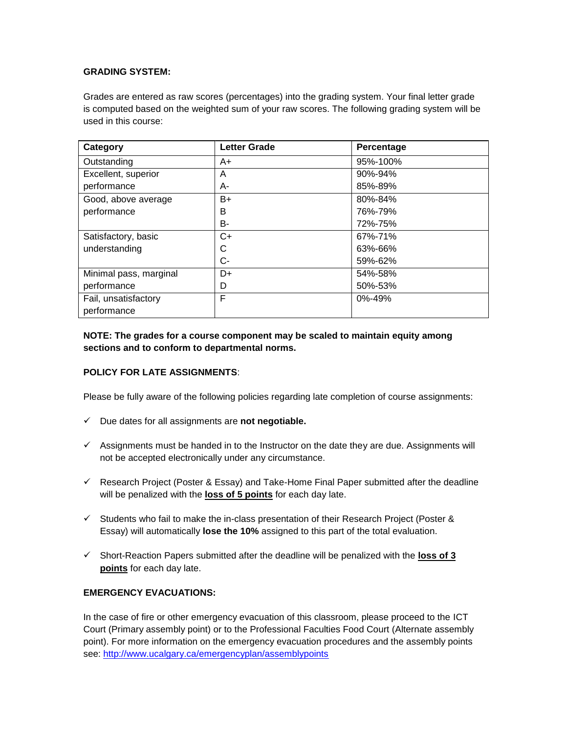# **GRADING SYSTEM:**

Grades are entered as raw scores (percentages) into the grading system. Your final letter grade is computed based on the weighted sum of your raw scores. The following grading system will be used in this course:

| Category               | <b>Letter Grade</b> | Percentage   |
|------------------------|---------------------|--------------|
| Outstanding            | A+                  | 95%-100%     |
| Excellent, superior    | A                   | 90%-94%      |
| performance            | A-                  | 85%-89%      |
| Good, above average    | $B+$                | 80%-84%      |
| performance            | B                   | 76%-79%      |
|                        | B-                  | 72%-75%      |
| Satisfactory, basic    | $C+$                | 67%-71%      |
| understanding          | С                   | 63%-66%      |
|                        | C-                  | 59%-62%      |
| Minimal pass, marginal | D+                  | 54%-58%      |
| performance            | D                   | 50%-53%      |
| Fail, unsatisfactory   | F                   | $0\% - 49\%$ |
| performance            |                     |              |

# **NOTE: The grades for a course component may be scaled to maintain equity among sections and to conform to departmental norms.**

## **POLICY FOR LATE ASSIGNMENTS**:

Please be fully aware of the following policies regarding late completion of course assignments:

- Due dates for all assignments are **not negotiable.**
- $\checkmark$  Assignments must be handed in to the Instructor on the date they are due. Assignments will not be accepted electronically under any circumstance.
- $\checkmark$  Research Project (Poster & Essay) and Take-Home Final Paper submitted after the deadline will be penalized with the **loss of 5 points** for each day late.
- $\checkmark$  Students who fail to make the in-class presentation of their Research Project (Poster & Essay) will automatically **lose the 10%** assigned to this part of the total evaluation.
- Short-Reaction Papers submitted after the deadline will be penalized with the **loss of 3 points** for each day late.

## **EMERGENCY EVACUATIONS:**

In the case of fire or other emergency evacuation of this classroom, please proceed to the ICT Court (Primary assembly point) or to the Professional Faculties Food Court (Alternate assembly point). For more information on the emergency evacuation procedures and the assembly points see:<http://www.ucalgary.ca/emergencyplan/assemblypoints>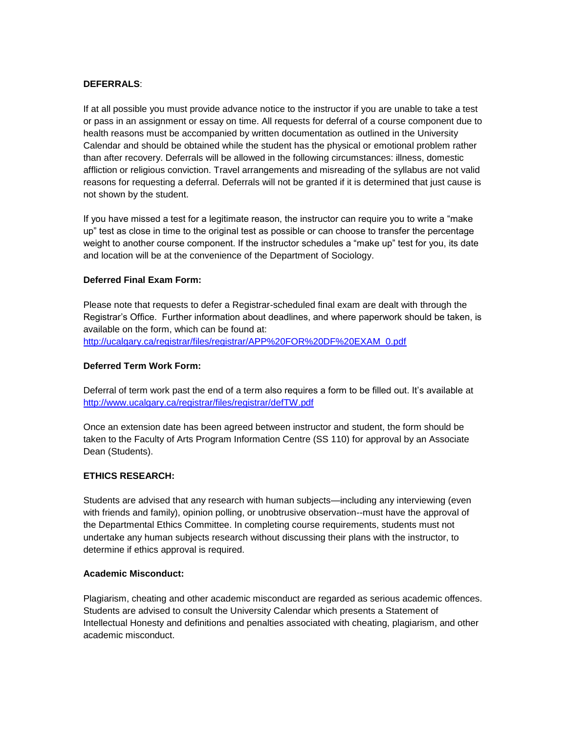### **DEFERRALS**:

If at all possible you must provide advance notice to the instructor if you are unable to take a test or pass in an assignment or essay on time. All requests for deferral of a course component due to health reasons must be accompanied by written documentation as outlined in the University Calendar and should be obtained while the student has the physical or emotional problem rather than after recovery. Deferrals will be allowed in the following circumstances: illness, domestic affliction or religious conviction. Travel arrangements and misreading of the syllabus are not valid reasons for requesting a deferral. Deferrals will not be granted if it is determined that just cause is not shown by the student.

If you have missed a test for a legitimate reason, the instructor can require you to write a "make up" test as close in time to the original test as possible or can choose to transfer the percentage weight to another course component. If the instructor schedules a "make up" test for you, its date and location will be at the convenience of the Department of Sociology.

### **Deferred Final Exam Form:**

Please note that requests to defer a Registrar-scheduled final exam are dealt with through the Registrar's Office. Further information about deadlines, and where paperwork should be taken, is available on the form, which can be found at: [http://ucalgary.ca/registrar/files/registrar/APP%20FOR%20DF%20EXAM\\_0.pdf](http://ucalgary.ca/registrar/files/registrar/APP%20FOR%20DF%20EXAM_0.pdf)

#### **Deferred Term Work Form:**

Deferral of term work past the end of a term also requires a form to be filled out. It's available at <http://www.ucalgary.ca/registrar/files/registrar/defTW.pdf>

Once an extension date has been agreed between instructor and student, the form should be taken to the Faculty of Arts Program Information Centre (SS 110) for approval by an Associate Dean (Students).

## **ETHICS RESEARCH:**

Students are advised that any research with human subjects—including any interviewing (even with friends and family), opinion polling, or unobtrusive observation--must have the approval of the Departmental Ethics Committee. In completing course requirements, students must not undertake any human subjects research without discussing their plans with the instructor, to determine if ethics approval is required.

#### **Academic Misconduct:**

Plagiarism, cheating and other academic misconduct are regarded as serious academic offences. Students are advised to consult the University Calendar which presents a Statement of Intellectual Honesty and definitions and penalties associated with cheating, plagiarism, and other academic misconduct.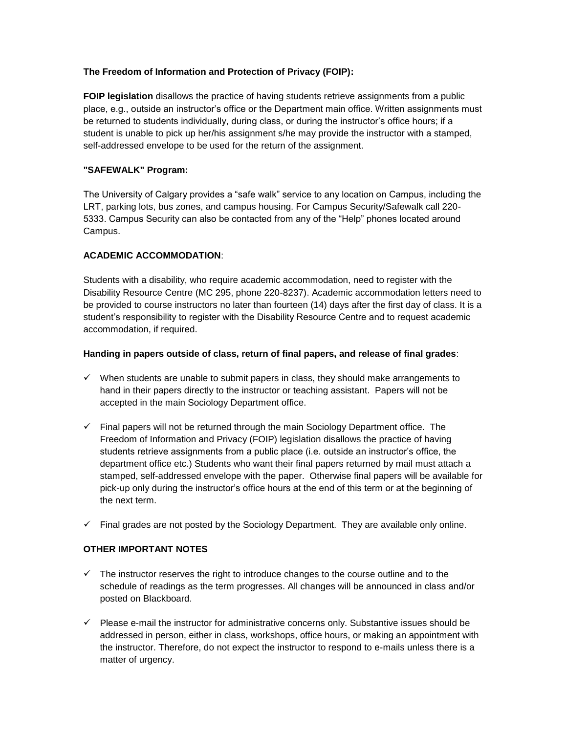# **The Freedom of Information and Protection of Privacy (FOIP):**

**FOIP legislation** disallows the practice of having students retrieve assignments from a public place, e.g., outside an instructor's office or the Department main office. Written assignments must be returned to students individually, during class, or during the instructor's office hours; if a student is unable to pick up her/his assignment s/he may provide the instructor with a stamped, self-addressed envelope to be used for the return of the assignment.

## **"SAFEWALK" Program:**

The University of Calgary provides a "safe walk" service to any location on Campus, including the LRT, parking lots, bus zones, and campus housing. For Campus Security/Safewalk call 220- 5333. Campus Security can also be contacted from any of the "Help" phones located around Campus.

### **ACADEMIC ACCOMMODATION**:

Students with a disability, who require academic accommodation, need to register with the Disability Resource Centre (MC 295, phone 220-8237). Academic accommodation letters need to be provided to course instructors no later than fourteen (14) days after the first day of class. It is a student's responsibility to register with the Disability Resource Centre and to request academic accommodation, if required.

### **Handing in papers outside of class, return of final papers, and release of final grades**:

- $\checkmark$  When students are unable to submit papers in class, they should make arrangements to hand in their papers directly to the instructor or teaching assistant. Papers will not be accepted in the main Sociology Department office.
- $\checkmark$  Final papers will not be returned through the main Sociology Department office. The Freedom of Information and Privacy (FOIP) legislation disallows the practice of having students retrieve assignments from a public place (i.e. outside an instructor's office, the department office etc.) Students who want their final papers returned by mail must attach a stamped, self-addressed envelope with the paper. Otherwise final papers will be available for pick-up only during the instructor's office hours at the end of this term or at the beginning of the next term.
- $\checkmark$  Final grades are not posted by the Sociology Department. They are available only online.

# **OTHER IMPORTANT NOTES**

- $\checkmark$  The instructor reserves the right to introduce changes to the course outline and to the schedule of readings as the term progresses. All changes will be announced in class and/or posted on Blackboard.
- $\checkmark$  Please e-mail the instructor for administrative concerns only. Substantive issues should be addressed in person, either in class, workshops, office hours, or making an appointment with the instructor. Therefore, do not expect the instructor to respond to e-mails unless there is a matter of urgency.